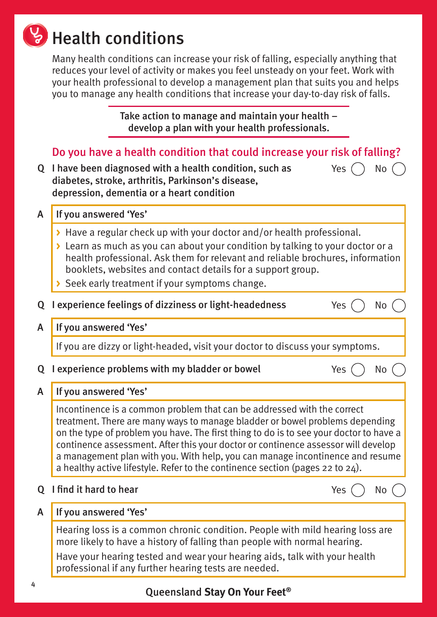# **W** Health conditions

Many health conditions can increase your risk of falling, especially anything that reduces your level of activity or makes you feel unsteady on your feet. Work with your health professional to develop a management plan that suits you and helps you to manage any health conditions that increase your day-to-day risk of falls.

> Take action to manage and maintain your health – develop a plan with your health professionals.

# Do you have a health condition that could increase your risk of falling?

Q I have been diagnosed with a health condition, such as diabetes, stroke, arthritis, Parkinson's disease, depression, dementia or a heart condition

A If you answered 'Yes'

- **>** Have a regular check up with your doctor and/or health professional.
- **>** Learn as much as you can about your condition by talking to your doctor or a health professional. Ask them for relevant and reliable brochures, information booklets, websites and contact details for a support group.
- **>** Seek early treatment if your symptoms change.
- Q I experience feelings of dizziness or light-headedness  $Yes$   $\cap$  No
- A If you answered 'Yes'

If you are dizzy or light-headed, visit your doctor to discuss your symptoms.

# Q I experience problems with my bladder or bowel  $\sim$  Yes  $($   $)$  No  $($

Yes  $()$  No

# A If you answered 'Yes'

Incontinence is a common problem that can be addressed with the correct treatment. There are many ways to manage bladder or bowel problems depending on the type of problem you have. The first thing to do is to see your doctor to have a continence assessment. After this your doctor or continence assessor will develop a management plan with you. With help, you can manage incontinence and resume a healthy active lifestyle. Refer to the continence section (pages 22 to 24).

- $Q$  I find it hard to hear  $Y$ es  $\bigcap_{N} Q$ 
	-

# A If you answered 'Yes'

Hearing loss is a common chronic condition. People with mild hearing loss are more likely to have a history of falling than people with normal hearing.

Have your hearing tested and wear your hearing aids, talk with your health professional if any further hearing tests are needed.

# Queensland **Stay On Your Feet®**